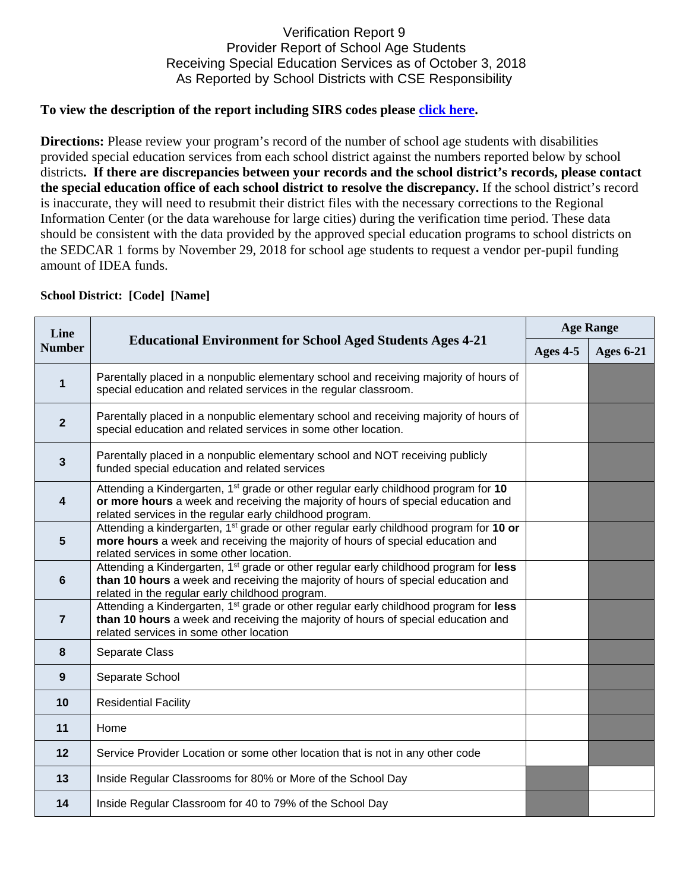## Verification Report 9 Provider Report of School Age Students Receiving Special Education Services as of October 3, 2018 As Reported by School Districts with CSE Responsibility

## **To view the description of the report including SIRS codes please click here.**

**Directions:** Please review your program's record of the number of school age students with disabilities provided special education services from each school district against the numbers reported below by school districts**. If there are discrepancies between your records and the school district's records, please contact the special education office of each school district to resolve the discrepancy.** If the school district's record is inaccurate, they will need to resubmit their district files with the necessary corrections to the Regional Information Center (or the data warehouse for large cities) during the verification time period. These data should be consistent with the data provided by the approved special education programs to school districts on the SEDCAR 1 forms by November 29, 2018 for school age students to request a vendor per-pupil funding amount of IDEA funds.

| <b>School District: [Code] [Name]</b> |                                                                                                                                                                                                                                                  |                  |                  |  |  |
|---------------------------------------|--------------------------------------------------------------------------------------------------------------------------------------------------------------------------------------------------------------------------------------------------|------------------|------------------|--|--|
| Line<br><b>Number</b>                 | <b>Educational Environment for School Aged Students Ages 4-21</b>                                                                                                                                                                                | <b>Age Range</b> |                  |  |  |
|                                       |                                                                                                                                                                                                                                                  | Ages 4-5         | <b>Ages 6-21</b> |  |  |
| 1                                     | Parentally placed in a nonpublic elementary school and receiving majority of hours of<br>special education and related services in the regular classroom.                                                                                        |                  |                  |  |  |
| $\overline{2}$                        | Parentally placed in a nonpublic elementary school and receiving majority of hours of<br>special education and related services in some other location.                                                                                          |                  |                  |  |  |
| $\mathbf{3}$                          | Parentally placed in a nonpublic elementary school and NOT receiving publicly<br>funded special education and related services                                                                                                                   |                  |                  |  |  |
| 4                                     | Attending a Kindergarten, 1 <sup>st</sup> grade or other regular early childhood program for 10<br>or more hours a week and receiving the majority of hours of special education and<br>related services in the regular early childhood program. |                  |                  |  |  |
| $5\phantom{1}$                        | Attending a kindergarten, 1 <sup>st</sup> grade or other regular early childhood program for 10 or<br>more hours a week and receiving the majority of hours of special education and<br>related services in some other location.                 |                  |                  |  |  |
| $6\phantom{1}6$                       | Attending a Kindergarten, 1 <sup>st</sup> grade or other regular early childhood program for less<br>than 10 hours a week and receiving the majority of hours of special education and<br>related in the regular early childhood program.        |                  |                  |  |  |
| $\overline{7}$                        | Attending a Kindergarten, 1 <sup>st</sup> grade or other regular early childhood program for less<br>than 10 hours a week and receiving the majority of hours of special education and<br>related services in some other location                |                  |                  |  |  |
| 8                                     | Separate Class                                                                                                                                                                                                                                   |                  |                  |  |  |
| 9                                     | Separate School                                                                                                                                                                                                                                  |                  |                  |  |  |
| 10                                    | <b>Residential Facility</b>                                                                                                                                                                                                                      |                  |                  |  |  |
| 11                                    | Home                                                                                                                                                                                                                                             |                  |                  |  |  |
| 12                                    | Service Provider Location or some other location that is not in any other code                                                                                                                                                                   |                  |                  |  |  |
| 13                                    | Inside Regular Classrooms for 80% or More of the School Day                                                                                                                                                                                      |                  |                  |  |  |
| 14                                    | Inside Regular Classroom for 40 to 79% of the School Day                                                                                                                                                                                         |                  |                  |  |  |